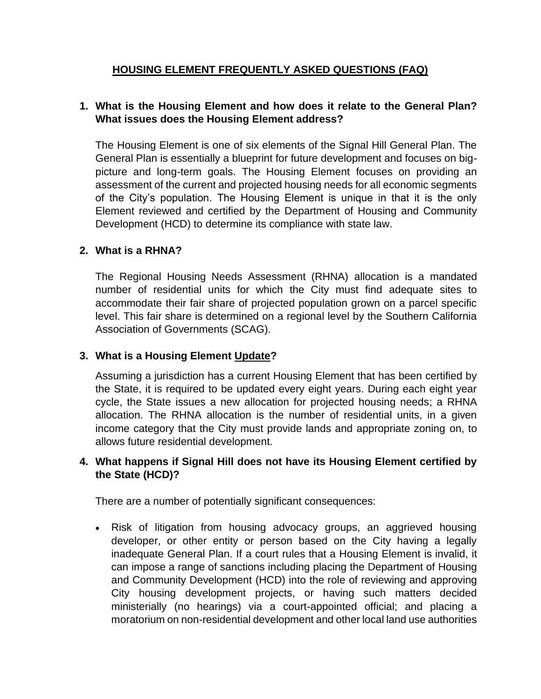## **HOUSING ELEMENT FREQUENTLY ASKED QUESTIONS (FAQ)**

## **1. What is the Housing Element and how does it relate to the General Plan? What issues does the Housing Element address?**

The Housing Element is one of six elements of the Signal Hill General Plan. The General Plan is essentially a blueprint for future development and focuses on bigpicture and long-term goals. The Housing Element focuses on providing an assessment of the current and projected housing needs for all economic segments of the City's population. The Housing Element is unique in that it is the only Element reviewed and certified by the Department of Housing and Community Development (HCD) to determine its compliance with state law.

#### **2. What is a RHNA?**

The Regional Housing Needs Assessment (RHNA) allocation is a mandated number of residential units for which the City must find adequate sites to accommodate their fair share of projected population grown on a parcel specific level. This fair share is determined on a regional level by the Southern California Association of Governments (SCAG).

## **3. What is a Housing Element Update?**

Assuming a jurisdiction has a current Housing Element that has been certified by the State, it is required to be updated every eight years. During each eight year cycle, the State issues a new allocation for projected housing needs; a RHNA allocation. The RHNA allocation is the number of residential units, in a given income category that the City must provide lands and appropriate zoning on, to allows future residential development.

## **4. What happens if Signal Hill does not have its Housing Element certified by the State (HCD)?**

There are a number of potentially significant consequences:

• Risk of litigation from housing advocacy groups, an aggrieved housing developer, or other entity or person based on the City having a legally inadequate General Plan. If a court rules that a Housing Element is invalid, it can impose a range of sanctions including placing the Department of Housing and Community Development (HCD) into the role of reviewing and approving City housing development projects, or having such matters decided ministerially (no hearings) via a court-appointed official; and placing a moratorium on non-residential development and other local land use authorities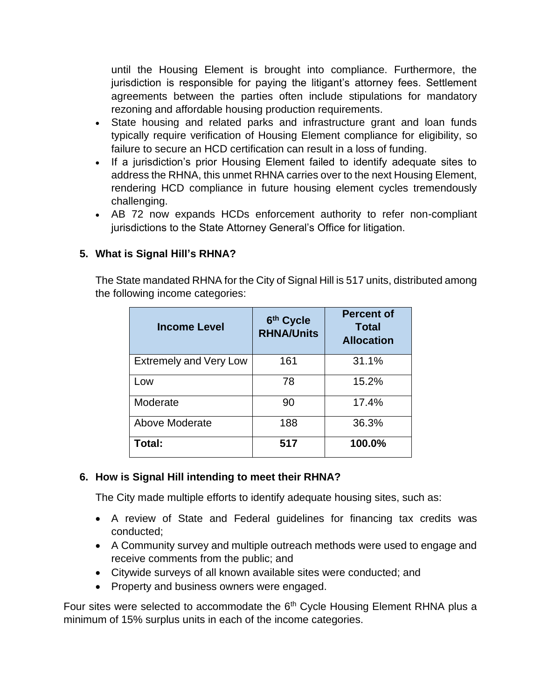until the Housing Element is brought into compliance. Furthermore, the jurisdiction is responsible for paying the litigant's attorney fees. Settlement agreements between the parties often include stipulations for mandatory rezoning and affordable housing production requirements.

- State housing and related parks and infrastructure grant and loan funds typically require verification of Housing Element compliance for eligibility, so failure to secure an HCD certification can result in a loss of funding.
- If a jurisdiction's prior Housing Element failed to identify adequate sites to address the RHNA, this unmet RHNA carries over to the next Housing Element, rendering HCD compliance in future housing element cycles tremendously challenging.
- AB 72 now expands HCDs enforcement authority to refer non-compliant jurisdictions to the State Attorney General's Office for litigation.

# **5. What is Signal Hill's RHNA?**

The State mandated RHNA for the City of Signal Hill is 517 units, distributed among the following income categories:

| <b>Income Level</b>           | 6th Cycle<br><b>RHNA/Units</b> | <b>Percent of</b><br><b>Total</b><br><b>Allocation</b> |
|-------------------------------|--------------------------------|--------------------------------------------------------|
| <b>Extremely and Very Low</b> | 161                            | 31.1%                                                  |
| Low                           | 78                             | 15.2%                                                  |
| Moderate                      | 90                             | 17.4%                                                  |
| Above Moderate                | 188                            | 36.3%                                                  |
| Total:                        | 517                            | 100.0%                                                 |

## **6. How is Signal Hill intending to meet their RHNA?**

The City made multiple efforts to identify adequate housing sites, such as:

- A review of State and Federal guidelines for financing tax credits was conducted;
- A Community survey and multiple outreach methods were used to engage and receive comments from the public; and
- Citywide surveys of all known available sites were conducted; and
- Property and business owners were engaged.

Four sites were selected to accommodate the 6<sup>th</sup> Cycle Housing Element RHNA plus a minimum of 15% surplus units in each of the income categories.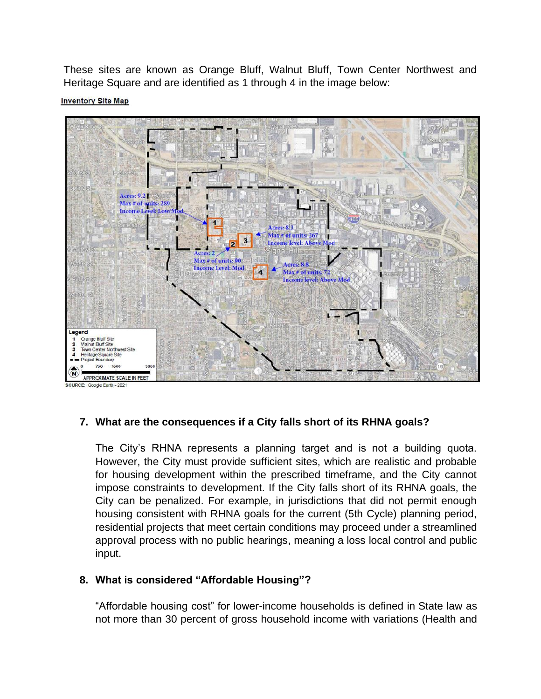These sites are known as Orange Bluff, Walnut Bluff, Town Center Northwest and Heritage Square and are identified as 1 through 4 in the image below:

**Inventory Site Map** 



## **7. What are the consequences if a City falls short of its RHNA goals?**

The City's RHNA represents a planning target and is not a building quota. However, the City must provide sufficient sites, which are realistic and probable for housing development within the prescribed timeframe, and the City cannot impose constraints to development. If the City falls short of its RHNA goals, the City can be penalized. For example, in jurisdictions that did not permit enough housing consistent with RHNA goals for the current (5th Cycle) planning period, residential projects that meet certain conditions may proceed under a streamlined approval process with no public hearings, meaning a loss local control and public input.

## **8. What is considered "Affordable Housing"?**

"Affordable housing cost" for lower-income households is defined in State law as not more than 30 percent of gross household income with variations (Health and